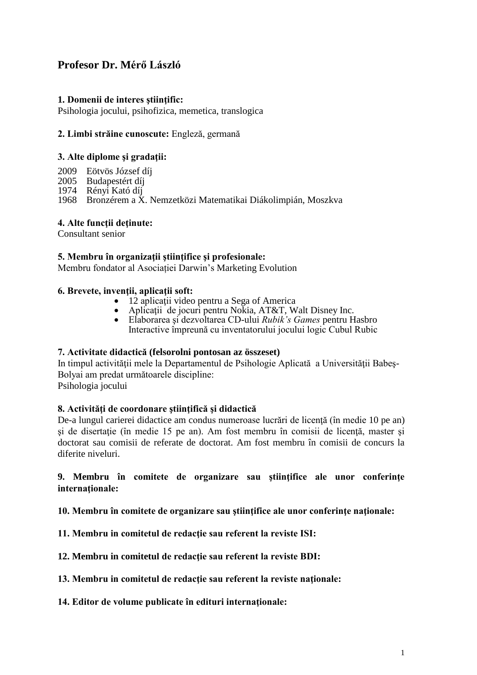# **Profesor Dr. Mérő László**

# **1. Domenii de interes ştiinţific:**

Psihologia jocului, psihofizica, memetica, translogica

### **2. Limbi străine cunoscute:** Engleză, germană

### **3. Alte diplome şi gradaţii:**

- 2009 Eötvös József díj
- 2005 Budapestért díj<br>1974 Rényi Kató díj
- Rényi Kató díj

1968 Bronzérem a X. Nemzetközi Matematikai Diákolimpián, Moszkva

### **4. Alte funcţii deţinute:**

Consultant senior

### **5. Membru în organizaţii ştiinţifice şi profesionale:**

Membru fondator al Asociației Darwin's Marketing Evolution

### **6. Brevete, invenţii, aplicaţii soft:**

- 12 aplicații video pentru a Sega of America
- Aplicaţii de jocuri pentru Nokia, AT&T, Walt Disney Inc.
- Elaborarea şi dezvoltarea CD-ului *Rubik's Games* pentru Hasbro Interactive împreună cu inventatorului jocului logic Cubul Rubic

#### **7. Activitate didactică (felsorolni pontosan az összeset)**

In timpul activităţii mele la Departamentul de Psihologie Aplicată a Universităţii Babeş-Bolyai am predat următoarele discipline: Psihologia jocului

### **8. Activităţi de coordonare ştiinţifică şi didactică**

De-a lungul carierei didactice am condus numeroase lucrări de licenţă (în medie 10 pe an) şi de disertaţie (în medie 15 pe an). Am fost membru în comisii de licenţă, master şi doctorat sau comisii de referate de doctorat. Am fost membru în comisii de concurs la diferite niveluri.

### **9. Membru în comitete de organizare sau ştiinţifice ale unor conferinţe internaţionale:**

**10. Membru în comitete de organizare sau ştiinţifice ale unor conferinţe naţionale:**

**11. Membru in comitetul de redacţie sau referent la reviste ISI:**

**12. Membru in comitetul de redacţie sau referent la reviste BDI:**

- **13. Membru in comitetul de redacţie sau referent la reviste naţionale:**
- **14. Editor de volume publicate în edituri internaţionale:**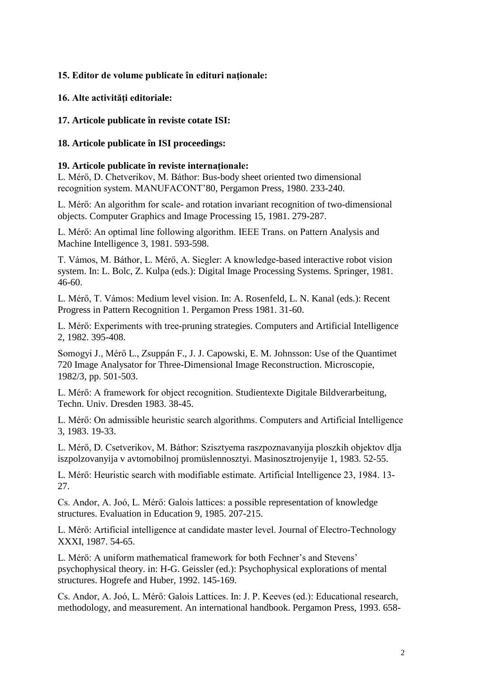# **15. Editor de volume publicate în edituri naţionale:**

# **16. Alte activităţi editoriale:**

# **17. Articole publicate în reviste cotate ISI:**

# **18. Articole publicate în ISI proceedings:**

# **19. Articole publicate în reviste internaţionale:**

L. Mérő, D. Chetverikov, M. Báthor: Bus-body sheet oriented two dimensional recognition system. MANUFACONT'80, Pergamon Press, 1980. 233-240.

L. Mérő: An algorithm for scale- and rotation invariant recognition of two-dimensional objects. Computer Graphics and Image Processing 15, 1981. 279-287.

L. Mérő: An optimal line following algorithm. IEEE Trans. on Pattern Analysis and Machine Intelligence 3, 1981. 593-598.

T. Vámos, M. Báthor, L. Mérő, A. Siegler: A knowledge-based interactive robot vision system. In: L. Bolc, Z. Kulpa (eds.): Digital Image Processing Systems. Springer, 1981. 46-60.

L. Mérő, T. Vámos: Medium level vision. In: A. Rosenfeld, L. N. Kanal (eds.): Recent Progress in Pattern Recognition 1. Pergamon Press 1981. 31-60.

L. Mérő: Experiments with tree-pruning strategies. Computers and Artificial Intelligence 2, 1982. 395-408.

Somogyi J., Mérő L., Zsuppán F., J. J. Capowski, E. M. Johnsson: Use of the Quantimet 720 Image Analysator for Three-Dimensional Image Reconstruction. Microscopie, 1982/3, pp. 501-503.

L. Mérő: A framework for object recognition. Studientexte Digitale Bildverarbeitung, Techn. Univ. Dresden 1983. 38-45.

L. Mérő: On admissible heuristic search algorithms. Computers and Artificial Intelligence 3, 1983. 19-33.

L. Mérő, D. Csetverikov, M. Báthor: Szisztyema raszpoznavanyija ploszkih objektov dlja iszpolzovanyija v avtomobilnoj promüslennosztyi. Masinosztrojenyije 1, 1983. 52-55.

L. Mérő: Heuristic search with modifiable estimate. Artificial Intelligence 23, 1984. 13- 27.

Cs. Andor, A. Joó, L. Mérő: Galois lattices: a possible representation of knowledge structures. Evaluation in Education 9, 1985. 207-215.

L. Mérő: Artificial intelligence at candidate master level. Journal of Electro-Technology XXXI, 1987. 54-65.

L. Mérő: A uniform mathematical framework for both Fechner's and Stevens' psychophysical theory. in: H-G. Geissler (ed.): Psychophysical explorations of mental structures. Hogrefe and Huber, 1992. 145-169.

Cs. Andor, A. Joó, L. Mérő: Galois Lattices. In: J. P. Keeves (ed.): Educational research, methodology, and measurement. An international handbook. Pergamon Press, 1993. 658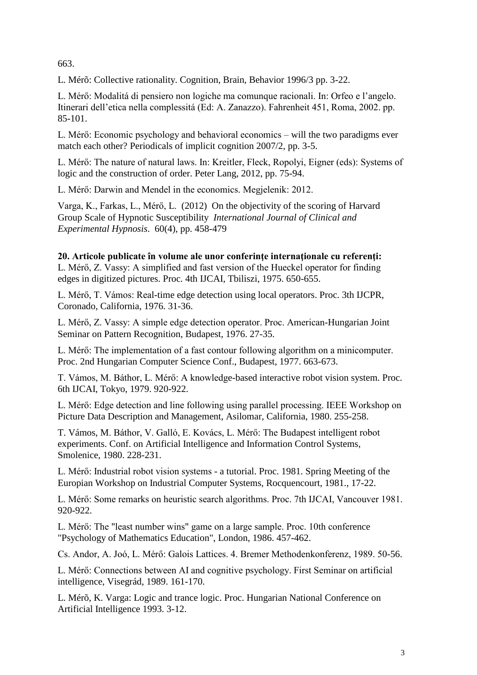663.

L. Mérõ: Collective rationality. Cognition, Brain, Behavior 1996/3 pp. 3-22.

L. Mérő: Modalitá di pensiero non logiche ma comunque racionali. In: Orfeo e l'angelo. Itinerari dell'etica nella complessitá (Ed: A. Zanazzo). Fahrenheit 451, Roma, 2002. pp. 85-101.

L. Mérő: Economic psychology and behavioral economics – will the two paradigms ever match each other? Periodicals of implicit cognition 2007/2, pp. 3-5.

L. Mérő: The nature of natural laws. In: Kreitler, Fleck, Ropolyi, Eigner (eds): Systems of logic and the construction of order. Peter Lang, 2012, pp. 75-94.

L. Mérő: Darwin and Mendel in the economics. Megjelenik: 2012.

Varga, K., Farkas, L., Mérő, L. (2012) On the objectivity of the scoring of Harvard Group Scale of Hypnotic Susceptibility *International Journal of Clinical and Experimental Hypnosis*. 60(4), pp. 458-479

**20. Articole publicate în volume ale unor conferinţe internaţionale cu referenţi:** L. Mérő, Z. Vassy: A simplified and fast version of the Hueckel operator for finding edges in digitized pictures. Proc. 4th IJCAI, Tbiliszi, 1975. 650-655.

L. Mérő, T. Vámos: Real-time edge detection using local operators. Proc. 3th IJCPR, Coronado, California, 1976. 31-36.

L. Mérő, Z. Vassy: A simple edge detection operator. Proc. American-Hungarian Joint Seminar on Pattern Recognition, Budapest, 1976. 27-35.

L. Mérő: The implementation of a fast contour following algorithm on a minicomputer. Proc. 2nd Hungarian Computer Science Conf., Budapest, 1977. 663-673.

T. Vámos, M. Báthor, L. Mérő: A knowledge-based interactive robot vision system. Proc. 6th IJCAI, Tokyo, 1979. 920-922.

L. Mérő: Edge detection and line following using parallel processing. IEEE Workshop on Picture Data Description and Management, Asilomar, California, 1980. 255-258.

T. Vámos, M. Báthor, V. Galló, E. Kovács, L. Mérő: The Budapest intelligent robot experiments. Conf. on Artificial Intelligence and Information Control Systems, Smolenice, 1980. 228-231.

L. Mérő: Industrial robot vision systems - a tutorial. Proc. 1981. Spring Meeting of the Europian Workshop on Industrial Computer Systems, Rocquencourt, 1981., 17-22.

L. Mérő: Some remarks on heuristic search algorithms. Proc. 7th IJCAI, Vancouver 1981. 920-922.

L. Mérő: The "least number wins" game on a large sample. Proc. 10th conference "Psychology of Mathematics Education", London, 1986. 457-462.

Cs. Andor, A. Joó, L. Mérő: Galois Lattices. 4. Bremer Methodenkonferenz, 1989. 50-56.

L. Mérő: Connections between AI and cognitive psychology. First Seminar on artificial intelligence, Visegrád, 1989. 161-170.

L. Mérõ, K. Varga: Logic and trance logic. Proc. Hungarian National Conference on Artificial Intelligence 1993. 3-12.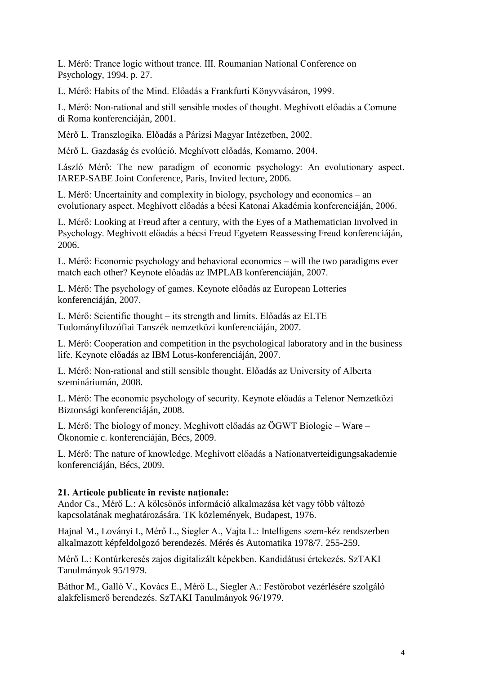L. Mérő: Trance logic without trance. III. Roumanian National Conference on Psychology, 1994. p. 27.

L. Mérő: Habits of the Mind. Előadás a Frankfurti Könyvvásáron, 1999.

L. Mérő: Non-rational and still sensible modes of thought. Meghívott előadás a Comune di Roma konferenciáján, 2001.

Mérő L. Transzlogika. Előadás a Párizsi Magyar Intézetben, 2002.

Mérő L. Gazdaság és evolúció. Meghívott előadás, Komarno, 2004.

László Mérő: The new paradigm of economic psychology: An evolutionary aspect. IAREP-SABE Joint Conference, Paris, Invited lecture, 2006.

L. Mérő: Uncertainity and complexity in biology, psychology and economics – an evolutionary aspect. Meghívott előadás a bécsi Katonai Akadémia konferenciáján, 2006.

L. Mérő: Looking at Freud after a century, with the Eyes of a Mathematician Involved in Psychology. Meghívott előadás a bécsi Freud Egyetem Reassessing Freud konferenciáján, 2006.

L. Mérő: Economic psychology and behavioral economics – will the two paradigms ever match each other? Keynote előadás az IMPLAB konferenciáján, 2007.

L. Mérő: The psychology of games. Keynote előadás az European Lotteries konferenciáján, 2007.

L. Mérő: Scientific thought – its strength and limits. Előadás az ELTE Tudományfilozófiai Tanszék nemzetközi konferenciáján, 2007.

L. Mérő: Cooperation and competition in the psychological laboratory and in the business life. Keynote előadás az IBM Lotus-konferenciáján, 2007.

L. Mérő: Non-rational and still sensible thought. Előadás az University of Alberta szemináriumán, 2008.

L. Mérő: The economic psychology of security. Keynote előadás a Telenor Nemzetközi Biztonsági konferenciáján, 2008.

L. Mérő: The biology of money. Meghívott előadás az ÖGWT Biologie – Ware – Ökonomie c. konferenciáján, Bécs, 2009.

L. Mérő: The nature of knowledge. Meghívott előadás a Nationatverteidigungsakademie konferenciáján, Bécs, 2009.

# **21. Articole publicate în reviste naţionale:**

Andor Cs., Mérő L.: A kölcsönös információ alkalmazása két vagy több változó kapcsolatának meghatározására. TK közlemények, Budapest, 1976.

Hajnal M., Loványi I., Mérő L., Siegler A., Vajta L.: Intelligens szem-kéz rendszerben alkalmazott képfeldolgozó berendezés. Mérés és Automatika 1978/7. 255-259.

Mérő L.: Kontúrkeresés zajos digitalizált képekben. Kandidátusi értekezés. SzTAKI Tanulmányok 95/1979.

Báthor M., Galló V., Kovács E., Mérő L., Siegler A.: Festőrobot vezérlésére szolgáló alakfelismerő berendezés. SzTAKI Tanulmányok 96/1979.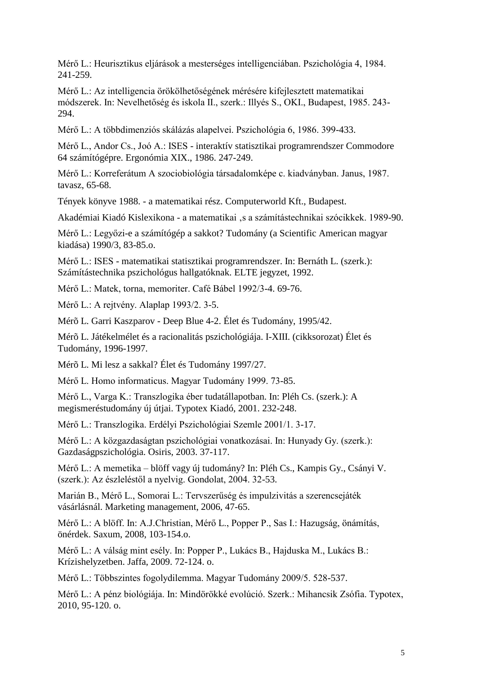Mérő L.: Heurisztikus eljárások a mesterséges intelligenciában. Pszichológia 4, 1984. 241-259.

Mérő L.: Az intelligencia örökölhetőségének mérésére kifejlesztett matematikai módszerek. In: Nevelhetőség és iskola II., szerk.: Illyés S., OKI., Budapest, 1985. 243- 294.

Mérő L.: A többdimenziós skálázás alapelvei. Pszichológia 6, 1986. 399-433.

Mérő L., Andor Cs., Joó A.: ISES - interaktív statisztikai programrendszer Commodore 64 számítógépre. Ergonómia XIX., 1986. 247-249.

Mérő L.: Korreferátum A szociobiológia társadalomképe c. kiadványban. Janus, 1987. tavasz, 65-68.

Tények könyve 1988. - a matematikai rész. Computerworld Kft., Budapest.

Akadémiai Kiadó Kislexikona - a matematikai 's a számítástechnikai szócikkek. 1989-90.

Mérő L.: Legyőzi-e a számítógép a sakkot? Tudomány (a Scientific American magyar kiadása) 1990/3, 83-85.o.

Mérő L.: ISES - matematikai statisztikai programrendszer. In: Bernáth L. (szerk.): Számítástechnika pszichológus hallgatóknak. ELTE jegyzet, 1992.

Mérő L.: Matek, torna, memoriter. Café Bábel 1992/3-4. 69-76.

Mérő L.: A rejtvény. Alaplap 1993/2. 3-5.

Mérõ L. Garri Kaszparov - Deep Blue 4-2. Élet és Tudomány, 1995/42.

Mérõ L. Játékelmélet és a racionalitás pszichológiája. I-XIII. (cikksorozat) Élet és Tudomány, 1996-1997.

Mérõ L. Mi lesz a sakkal? Élet és Tudomány 1997/27.

Mérő L. Homo informaticus. Magyar Tudomány 1999. 73-85.

Mérő L., Varga K.: Transzlogika éber tudatállapotban. In: Pléh Cs. (szerk.): A megismeréstudomány új útjai. Typotex Kiadó, 2001. 232-248.

Mérő L.: Transzlogika. Erdélyi Pszichológiai Szemle 2001/1. 3-17.

Mérő L.: A közgazdaságtan pszichológiai vonatkozásai. In: Hunyady Gy. (szerk.): Gazdaságpszichológia. Osiris, 2003. 37-117.

Mérő L.: A memetika – blöff vagy új tudomány? In: Pléh Cs., Kampis Gy., Csányi V. (szerk.): Az észleléstől a nyelvig. Gondolat, 2004. 32-53.

Marián B., Mérő L., Somorai L.: Tervszerűség és impulzivitás a szerencsejáték vásárlásnál. Marketing management, 2006, 47-65.

Mérő L.: A blöff. In: A.J.Christian, Mérő L., Popper P., Sas I.: Hazugság, önámítás, önérdek. Saxum, 2008, 103-154.o.

Mérő L.: A válság mint esély. In: Popper P., Lukács B., Hajduska M., Lukács B.: Krízishelyzetben. Jaffa, 2009. 72-124. o.

Mérő L.: Többszintes fogolydilemma. Magyar Tudomány 2009/5. 528-537.

Mérő L.: A pénz biológiája. In: Mindörökké evolúció. Szerk.: Mihancsik Zsófia. Typotex, 2010, 95-120. o.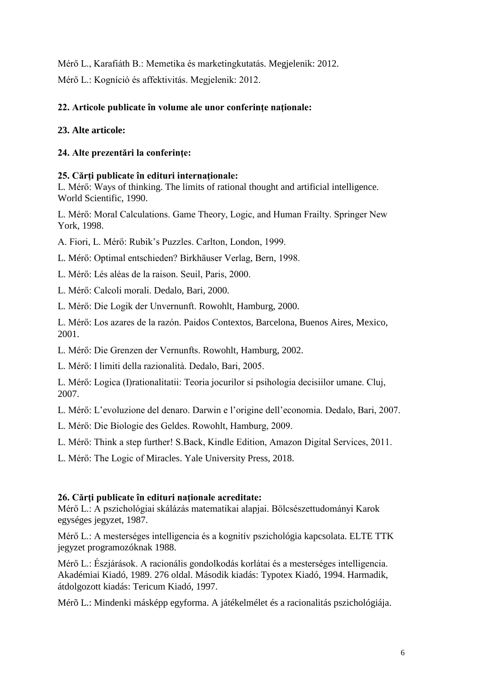Mérő L., Karafiáth B.: Memetika és marketingkutatás. Megjelenik: 2012. Mérő L.: Kogníció és affektivitás. Megjelenik: 2012.

# **22. Articole publicate în volume ale unor conferinţe naţionale:**

# **23. Alte articole:**

# **24. Alte prezentări la conferinţe:**

# **25. Cărţi publicate în edituri internaţionale:**

L. Mérő: Ways of thinking. The limits of rational thought and artificial intelligence. World Scientific, 1990.

L. Mérő: Moral Calculations. Game Theory, Logic, and Human Frailty. Springer New York, 1998.

A. Fiori, L. Mérő: Rubik's Puzzles. Carlton, London, 1999.

L. Mérő: Optimal entschieden? Birkhäuser Verlag, Bern, 1998.

L. Mérő: Lés aléas de la raison. Seuil, Paris, 2000.

L. Mérő: Calcoli morali. Dedalo, Bari, 2000.

L. Mérő: Die Logik der Unvernunft. Rowohlt, Hamburg, 2000.

L. Mérő: Los azares de la razón. Paidos Contextos, Barcelona, Buenos Aires, Mexico, 2001.

L. Mérő: Die Grenzen der Vernunfts. Rowohlt, Hamburg, 2002.

L. Mérő: I limiti della razionalità. Dedalo, Bari, 2005.

L. Mérő: Logica (I)rationalitatii: Teoria jocurilor si psihologia decisiilor umane. Cluj, 2007.

L. Mérő: L'evoluzione del denaro. Darwin e l'origine dell'economia. Dedalo, Bari, 2007.

L. Mérő: Die Biologie des Geldes. Rowohlt, Hamburg, 2009.

L. Mérő: Think a step further! S.Back, Kindle Edition, Amazon Digital Services, 2011.

L. Mérő: The Logic of Miracles. Yale University Press, 2018.

# **26. Cărţi publicate în edituri naţionale acreditate:**

Mérő L.: A pszichológiai skálázás matematikai alapjai. Bölcsészettudományi Karok egységes jegyzet, 1987.

Mérő L.: A mesterséges intelligencia és a kognitív pszichológia kapcsolata. ELTE TTK jegyzet programozóknak 1988.

Mérő L.: Észjárások. A racionális gondolkodás korlátai és a mesterséges intelligencia. Akadémiai Kiadó, 1989. 276 oldal. Második kiadás: Typotex Kiadó, 1994. Harmadik, átdolgozott kiadás: Tericum Kiadó, 1997.

Mérõ L.: Mindenki másképp egyforma. A játékelmélet és a racionalitás pszichológiája.